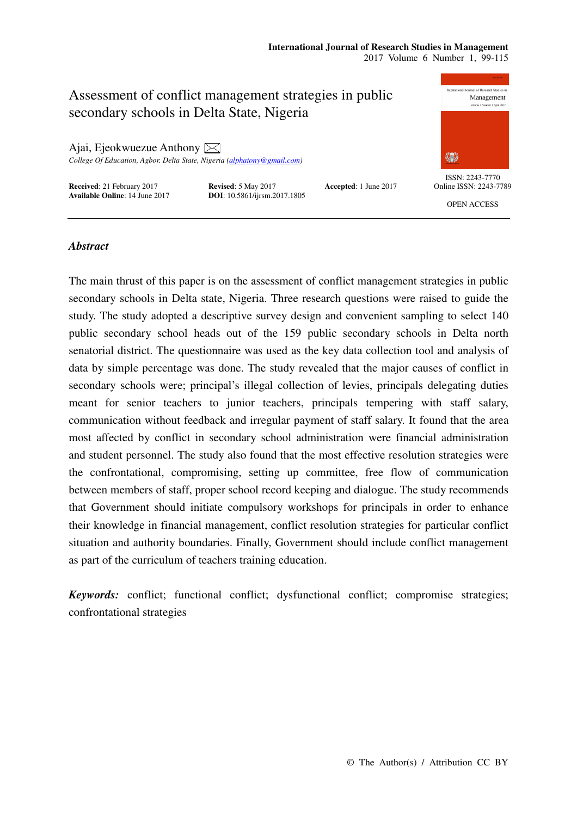#### **International Journal of Research Studies in Management**  2017 Volume 6 Number 1, 99-115

Assessment of conflict management strategies in public secondary schools in Delta State, Nigeria

Ajai, Ejeokwuezue Anthony  $\boxtimes$ *College Of Education, Agbor. Delta State, Nigeria (alphatony@gmail.com)* 

**Received**: 21 February 2017<br> **Revised**: 5 May 2017<br> **Accepted**: 1 June 2017<br> **DOI**: 10.5861/ijrsm.2017.1805

**DOI**: 10.5861/ijrsm.2017.1805





ISSN: 2243-7770 Online ISSN: 2243-7789

OPEN ACCESS

# *Abstract*

The main thrust of this paper is on the assessment of conflict management strategies in public secondary schools in Delta state, Nigeria. Three research questions were raised to guide the study. The study adopted a descriptive survey design and convenient sampling to select 140 public secondary school heads out of the 159 public secondary schools in Delta north senatorial district. The questionnaire was used as the key data collection tool and analysis of data by simple percentage was done. The study revealed that the major causes of conflict in secondary schools were; principal's illegal collection of levies, principals delegating duties meant for senior teachers to junior teachers, principals tempering with staff salary, communication without feedback and irregular payment of staff salary. It found that the area most affected by conflict in secondary school administration were financial administration and student personnel. The study also found that the most effective resolution strategies were the confrontational, compromising, setting up committee, free flow of communication between members of staff, proper school record keeping and dialogue. The study recommends that Government should initiate compulsory workshops for principals in order to enhance their knowledge in financial management, conflict resolution strategies for particular conflict situation and authority boundaries. Finally, Government should include conflict management as part of the curriculum of teachers training education.

*Keywords:* conflict; functional conflict; dysfunctional conflict; compromise strategies; confrontational strategies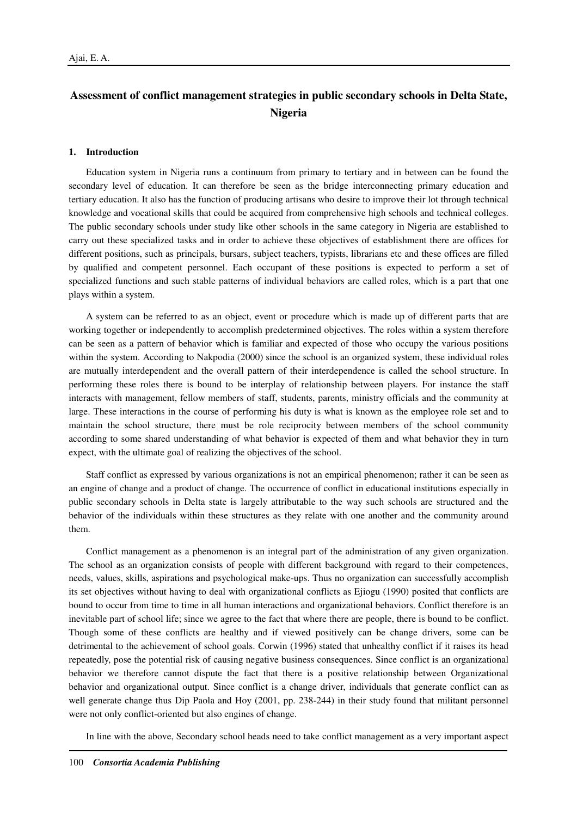# **Assessment of conflict management strategies in public secondary schools in Delta State, Nigeria**

#### **1. Introduction**

Education system in Nigeria runs a continuum from primary to tertiary and in between can be found the secondary level of education. It can therefore be seen as the bridge interconnecting primary education and tertiary education. It also has the function of producing artisans who desire to improve their lot through technical knowledge and vocational skills that could be acquired from comprehensive high schools and technical colleges. The public secondary schools under study like other schools in the same category in Nigeria are established to carry out these specialized tasks and in order to achieve these objectives of establishment there are offices for different positions, such as principals, bursars, subject teachers, typists, librarians etc and these offices are filled by qualified and competent personnel. Each occupant of these positions is expected to perform a set of specialized functions and such stable patterns of individual behaviors are called roles, which is a part that one plays within a system.

A system can be referred to as an object, event or procedure which is made up of different parts that are working together or independently to accomplish predetermined objectives. The roles within a system therefore can be seen as a pattern of behavior which is familiar and expected of those who occupy the various positions within the system. According to Nakpodia (2000) since the school is an organized system, these individual roles are mutually interdependent and the overall pattern of their interdependence is called the school structure. In performing these roles there is bound to be interplay of relationship between players. For instance the staff interacts with management, fellow members of staff, students, parents, ministry officials and the community at large. These interactions in the course of performing his duty is what is known as the employee role set and to maintain the school structure, there must be role reciprocity between members of the school community according to some shared understanding of what behavior is expected of them and what behavior they in turn expect, with the ultimate goal of realizing the objectives of the school.

Staff conflict as expressed by various organizations is not an empirical phenomenon; rather it can be seen as an engine of change and a product of change. The occurrence of conflict in educational institutions especially in public secondary schools in Delta state is largely attributable to the way such schools are structured and the behavior of the individuals within these structures as they relate with one another and the community around them.

Conflict management as a phenomenon is an integral part of the administration of any given organization. The school as an organization consists of people with different background with regard to their competences, needs, values, skills, aspirations and psychological make-ups. Thus no organization can successfully accomplish its set objectives without having to deal with organizational conflicts as Ejiogu (1990) posited that conflicts are bound to occur from time to time in all human interactions and organizational behaviors. Conflict therefore is an inevitable part of school life; since we agree to the fact that where there are people, there is bound to be conflict. Though some of these conflicts are healthy and if viewed positively can be change drivers, some can be detrimental to the achievement of school goals. Corwin (1996) stated that unhealthy conflict if it raises its head repeatedly, pose the potential risk of causing negative business consequences. Since conflict is an organizational behavior we therefore cannot dispute the fact that there is a positive relationship between Organizational behavior and organizational output. Since conflict is a change driver, individuals that generate conflict can as well generate change thus Dip Paola and Hoy (2001, pp. 238-244) in their study found that militant personnel were not only conflict-oriented but also engines of change.

In line with the above, Secondary school heads need to take conflict management as a very important aspect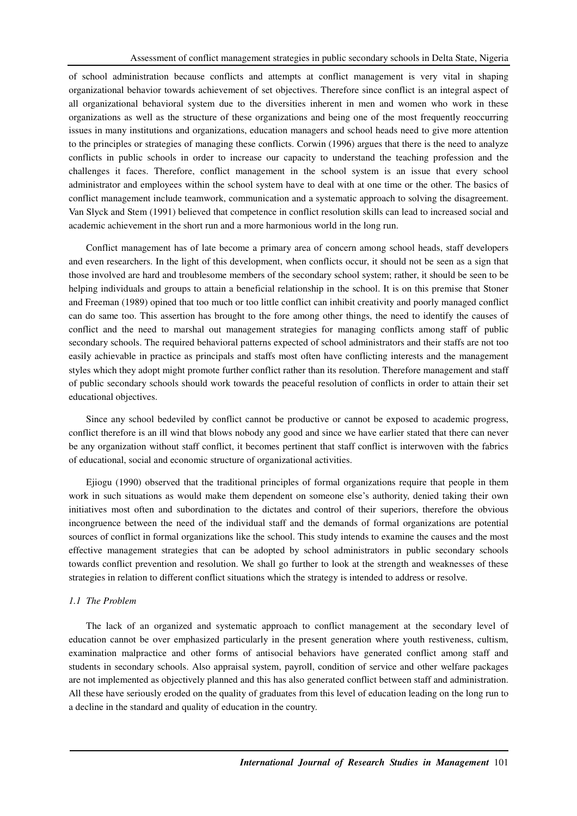of school administration because conflicts and attempts at conflict management is very vital in shaping organizational behavior towards achievement of set objectives. Therefore since conflict is an integral aspect of all organizational behavioral system due to the diversities inherent in men and women who work in these organizations as well as the structure of these organizations and being one of the most frequently reoccurring issues in many institutions and organizations, education managers and school heads need to give more attention to the principles or strategies of managing these conflicts. Corwin (1996) argues that there is the need to analyze conflicts in public schools in order to increase our capacity to understand the teaching profession and the challenges it faces. Therefore, conflict management in the school system is an issue that every school administrator and employees within the school system have to deal with at one time or the other. The basics of conflict management include teamwork, communication and a systematic approach to solving the disagreement. Van Slyck and Stem (1991) believed that competence in conflict resolution skills can lead to increased social and academic achievement in the short run and a more harmonious world in the long run.

Conflict management has of late become a primary area of concern among school heads, staff developers and even researchers. In the light of this development, when conflicts occur, it should not be seen as a sign that those involved are hard and troublesome members of the secondary school system; rather, it should be seen to be helping individuals and groups to attain a beneficial relationship in the school. It is on this premise that Stoner and Freeman (1989) opined that too much or too little conflict can inhibit creativity and poorly managed conflict can do same too. This assertion has brought to the fore among other things, the need to identify the causes of conflict and the need to marshal out management strategies for managing conflicts among staff of public secondary schools. The required behavioral patterns expected of school administrators and their staffs are not too easily achievable in practice as principals and staffs most often have conflicting interests and the management styles which they adopt might promote further conflict rather than its resolution. Therefore management and staff of public secondary schools should work towards the peaceful resolution of conflicts in order to attain their set educational objectives.

Since any school bedeviled by conflict cannot be productive or cannot be exposed to academic progress, conflict therefore is an ill wind that blows nobody any good and since we have earlier stated that there can never be any organization without staff conflict, it becomes pertinent that staff conflict is interwoven with the fabrics of educational, social and economic structure of organizational activities.

Ejiogu (1990) observed that the traditional principles of formal organizations require that people in them work in such situations as would make them dependent on someone else's authority, denied taking their own initiatives most often and subordination to the dictates and control of their superiors, therefore the obvious incongruence between the need of the individual staff and the demands of formal organizations are potential sources of conflict in formal organizations like the school. This study intends to examine the causes and the most effective management strategies that can be adopted by school administrators in public secondary schools towards conflict prevention and resolution. We shall go further to look at the strength and weaknesses of these strategies in relation to different conflict situations which the strategy is intended to address or resolve.

#### *1.1 The Problem*

The lack of an organized and systematic approach to conflict management at the secondary level of education cannot be over emphasized particularly in the present generation where youth restiveness, cultism, examination malpractice and other forms of antisocial behaviors have generated conflict among staff and students in secondary schools. Also appraisal system, payroll, condition of service and other welfare packages are not implemented as objectively planned and this has also generated conflict between staff and administration. All these have seriously eroded on the quality of graduates from this level of education leading on the long run to a decline in the standard and quality of education in the country.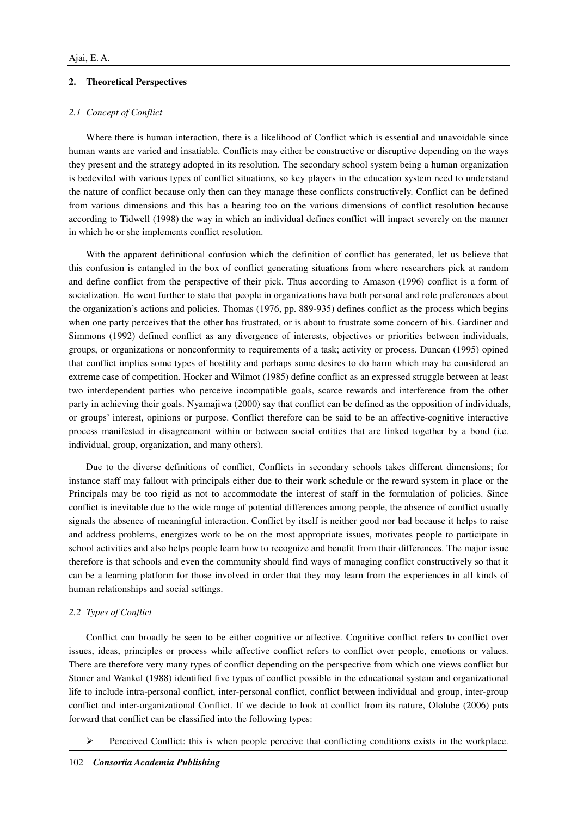## **2. Theoretical Perspectives**

## *2.1 Concept of Conflict*

Where there is human interaction, there is a likelihood of Conflict which is essential and unavoidable since human wants are varied and insatiable. Conflicts may either be constructive or disruptive depending on the ways they present and the strategy adopted in its resolution. The secondary school system being a human organization is bedeviled with various types of conflict situations, so key players in the education system need to understand the nature of conflict because only then can they manage these conflicts constructively. Conflict can be defined from various dimensions and this has a bearing too on the various dimensions of conflict resolution because according to Tidwell (1998) the way in which an individual defines conflict will impact severely on the manner in which he or she implements conflict resolution.

With the apparent definitional confusion which the definition of conflict has generated, let us believe that this confusion is entangled in the box of conflict generating situations from where researchers pick at random and define conflict from the perspective of their pick. Thus according to Amason (1996) conflict is a form of socialization. He went further to state that people in organizations have both personal and role preferences about the organization's actions and policies. Thomas (1976, pp. 889-935) defines conflict as the process which begins when one party perceives that the other has frustrated, or is about to frustrate some concern of his. Gardiner and Simmons (1992) defined conflict as any divergence of interests, objectives or priorities between individuals, groups, or organizations or nonconformity to requirements of a task; activity or process. Duncan (1995) opined that conflict implies some types of hostility and perhaps some desires to do harm which may be considered an extreme case of competition. Hocker and Wilmot (1985) define conflict as an expressed struggle between at least two interdependent parties who perceive incompatible goals, scarce rewards and interference from the other party in achieving their goals. Nyamajiwa (2000) say that conflict can be defined as the opposition of individuals, or groups' interest, opinions or purpose. Conflict therefore can be said to be an affective-cognitive interactive process manifested in disagreement within or between social entities that are linked together by a bond (i.e. individual, group, organization, and many others).

Due to the diverse definitions of conflict, Conflicts in secondary schools takes different dimensions; for instance staff may fallout with principals either due to their work schedule or the reward system in place or the Principals may be too rigid as not to accommodate the interest of staff in the formulation of policies. Since conflict is inevitable due to the wide range of potential differences among people, the absence of conflict usually signals the absence of meaningful interaction. Conflict by itself is neither good nor bad because it helps to raise and address problems, energizes work to be on the most appropriate issues, motivates people to participate in school activities and also helps people learn how to recognize and benefit from their differences. The major issue therefore is that schools and even the community should find ways of managing conflict constructively so that it can be a learning platform for those involved in order that they may learn from the experiences in all kinds of human relationships and social settings.

### *2.2 Types of Conflict*

Conflict can broadly be seen to be either cognitive or affective. Cognitive conflict refers to conflict over issues, ideas, principles or process while affective conflict refers to conflict over people, emotions or values. There are therefore very many types of conflict depending on the perspective from which one views conflict but Stoner and Wankel (1988) identified five types of conflict possible in the educational system and organizational life to include intra-personal conflict, inter-personal conflict, conflict between individual and group, inter-group conflict and inter-organizational Conflict. If we decide to look at conflict from its nature, Ololube (2006) puts forward that conflict can be classified into the following types:

 $\triangleright$  Perceived Conflict: this is when people perceive that conflicting conditions exists in the workplace.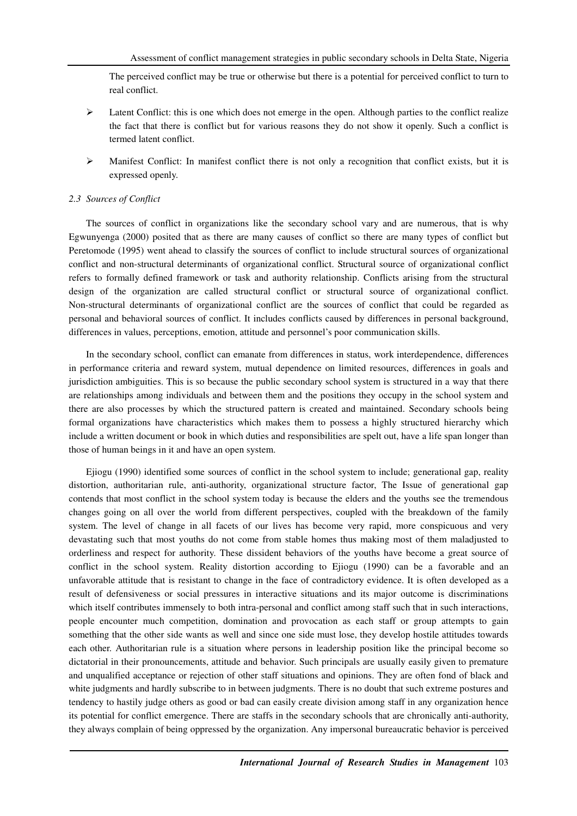The perceived conflict may be true or otherwise but there is a potential for perceived conflict to turn to real conflict.

- $\triangleright$  Latent Conflict: this is one which does not emerge in the open. Although parties to the conflict realize the fact that there is conflict but for various reasons they do not show it openly. Such a conflict is termed latent conflict.
- $\triangleright$  Manifest Conflict: In manifest conflict there is not only a recognition that conflict exists, but it is expressed openly.

#### *2.3 Sources of Conflict*

The sources of conflict in organizations like the secondary school vary and are numerous, that is why Egwunyenga (2000) posited that as there are many causes of conflict so there are many types of conflict but Peretomode (1995) went ahead to classify the sources of conflict to include structural sources of organizational conflict and non-structural determinants of organizational conflict. Structural source of organizational conflict refers to formally defined framework or task and authority relationship. Conflicts arising from the structural design of the organization are called structural conflict or structural source of organizational conflict. Non-structural determinants of organizational conflict are the sources of conflict that could be regarded as personal and behavioral sources of conflict. It includes conflicts caused by differences in personal background, differences in values, perceptions, emotion, attitude and personnel's poor communication skills.

In the secondary school, conflict can emanate from differences in status, work interdependence, differences in performance criteria and reward system, mutual dependence on limited resources, differences in goals and jurisdiction ambiguities. This is so because the public secondary school system is structured in a way that there are relationships among individuals and between them and the positions they occupy in the school system and there are also processes by which the structured pattern is created and maintained. Secondary schools being formal organizations have characteristics which makes them to possess a highly structured hierarchy which include a written document or book in which duties and responsibilities are spelt out, have a life span longer than those of human beings in it and have an open system.

Ejiogu (1990) identified some sources of conflict in the school system to include; generational gap, reality distortion, authoritarian rule, anti-authority, organizational structure factor, The Issue of generational gap contends that most conflict in the school system today is because the elders and the youths see the tremendous changes going on all over the world from different perspectives, coupled with the breakdown of the family system. The level of change in all facets of our lives has become very rapid, more conspicuous and very devastating such that most youths do not come from stable homes thus making most of them maladjusted to orderliness and respect for authority. These dissident behaviors of the youths have become a great source of conflict in the school system. Reality distortion according to Ejiogu (1990) can be a favorable and an unfavorable attitude that is resistant to change in the face of contradictory evidence. It is often developed as a result of defensiveness or social pressures in interactive situations and its major outcome is discriminations which itself contributes immensely to both intra-personal and conflict among staff such that in such interactions, people encounter much competition, domination and provocation as each staff or group attempts to gain something that the other side wants as well and since one side must lose, they develop hostile attitudes towards each other. Authoritarian rule is a situation where persons in leadership position like the principal become so dictatorial in their pronouncements, attitude and behavior. Such principals are usually easily given to premature and unqualified acceptance or rejection of other staff situations and opinions. They are often fond of black and white judgments and hardly subscribe to in between judgments. There is no doubt that such extreme postures and tendency to hastily judge others as good or bad can easily create division among staff in any organization hence its potential for conflict emergence. There are staffs in the secondary schools that are chronically anti-authority, they always complain of being oppressed by the organization. Any impersonal bureaucratic behavior is perceived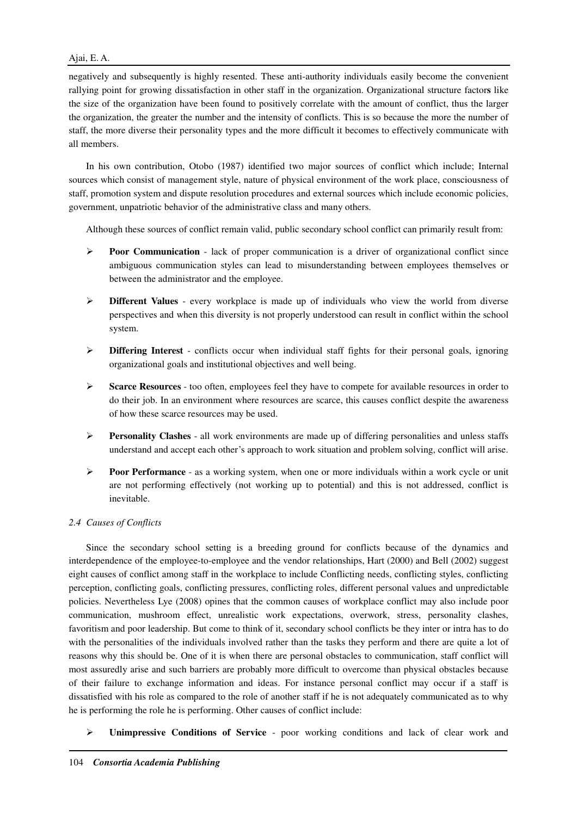# Ajai, E. A.

negatively and subsequently is highly resented. These anti-authority individuals easily become the convenient rallying point for growing dissatisfaction in other staff in the organization. Organizational structure factor**s** like the size of the organization have been found to positively correlate with the amount of conflict, thus the larger the organization, the greater the number and the intensity of conflicts. This is so because the more the number of staff, the more diverse their personality types and the more difficult it becomes to effectively communicate with all members.

In his own contribution, Otobo (1987) identified two major sources of conflict which include; Internal sources which consist of management style, nature of physical environment of the work place, consciousness of staff, promotion system and dispute resolution procedures and external sources which include economic policies, government, unpatriotic behavior of the administrative class and many others.

Although these sources of conflict remain valid, public secondary school conflict can primarily result from:

- **Poor Communication** lack of proper communication is a driver of organizational conflict since ambiguous communication styles can lead to misunderstanding between employees themselves or between the administrator and the employee.
- **Different Values** every workplace is made up of individuals who view the world from diverse perspectives and when this diversity is not properly understood can result in conflict within the school system.
- **Differing Interest** conflicts occur when individual staff fights for their personal goals, ignoring organizational goals and institutional objectives and well being.
- **Scarce Resources** too often, employees feel they have to compete for available resources in order to do their job. In an environment where resources are scarce, this causes conflict despite the awareness of how these scarce resources may be used.
- **Personality Clashes** all work environments are made up of differing personalities and unless staffs understand and accept each other's approach to work situation and problem solving, conflict will arise.
- **Poor Performance** as a working system, when one or more individuals within a work cycle or unit are not performing effectively (not working up to potential) and this is not addressed, conflict is inevitable.

# *2.4 Causes of Conflicts*

Since the secondary school setting is a breeding ground for conflicts because of the dynamics and interdependence of the employee-to-employee and the vendor relationships, Hart (2000) and Bell (2002) suggest eight causes of conflict among staff in the workplace to include Conflicting needs, conflicting styles, conflicting perception, conflicting goals, conflicting pressures, conflicting roles, different personal values and unpredictable policies. Nevertheless Lye (2008) opines that the common causes of workplace conflict may also include poor communication, mushroom effect, unrealistic work expectations, overwork, stress, personality clashes, favoritism and poor leadership. But come to think of it, secondary school conflicts be they inter or intra has to do with the personalities of the individuals involved rather than the tasks they perform and there are quite a lot of reasons why this should be. One of it is when there are personal obstacles to communication, staff conflict will most assuredly arise and such barriers are probably more difficult to overcome than physical obstacles because of their failure to exchange information and ideas. For instance personal conflict may occur if a staff is dissatisfied with his role as compared to the role of another staff if he is not adequately communicated as to why he is performing the role he is performing. Other causes of conflict include:

**Unimpressive Conditions of Service** - poor working conditions and lack of clear work and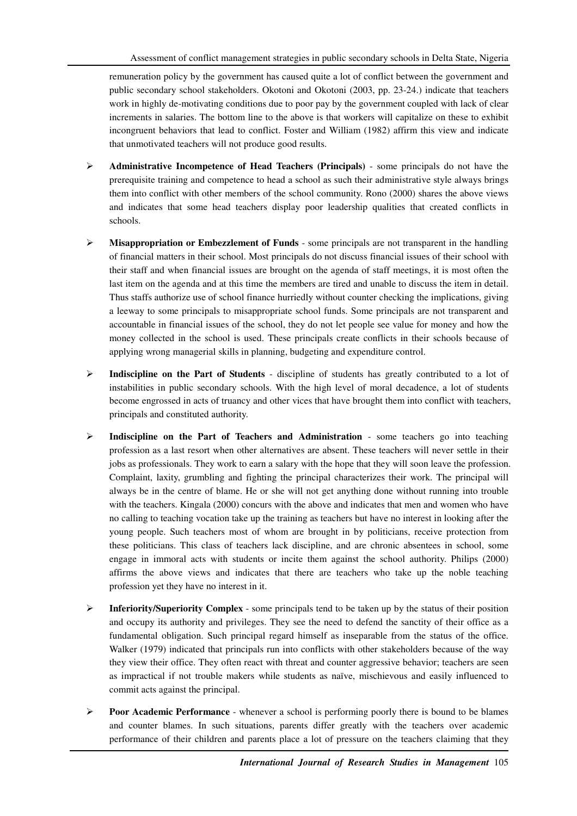remuneration policy by the government has caused quite a lot of conflict between the government and public secondary school stakeholders. Okotoni and Okotoni (2003, pp. 23-24.) indicate that teachers work in highly de-motivating conditions due to poor pay by the government coupled with lack of clear increments in salaries. The bottom line to the above is that workers will capitalize on these to exhibit incongruent behaviors that lead to conflict. Foster and William (1982) affirm this view and indicate that unmotivated teachers will not produce good results.

- **Administrative Incompetence of Head Teachers (Principals)** some principals do not have the prerequisite training and competence to head a school as such their administrative style always brings them into conflict with other members of the school community. Rono (2000) shares the above views and indicates that some head teachers display poor leadership qualities that created conflicts in schools.
- **Misappropriation or Embezzlement of Funds** some principals are not transparent in the handling of financial matters in their school. Most principals do not discuss financial issues of their school with their staff and when financial issues are brought on the agenda of staff meetings, it is most often the last item on the agenda and at this time the members are tired and unable to discuss the item in detail. Thus staffs authorize use of school finance hurriedly without counter checking the implications, giving a leeway to some principals to misappropriate school funds. Some principals are not transparent and accountable in financial issues of the school, they do not let people see value for money and how the money collected in the school is used. These principals create conflicts in their schools because of applying wrong managerial skills in planning, budgeting and expenditure control.
- **Indiscipline on the Part of Students** discipline of students has greatly contributed to a lot of instabilities in public secondary schools. With the high level of moral decadence, a lot of students become engrossed in acts of truancy and other vices that have brought them into conflict with teachers, principals and constituted authority.
- **Indiscipline on the Part of Teachers and Administration** some teachers go into teaching profession as a last resort when other alternatives are absent. These teachers will never settle in their jobs as professionals. They work to earn a salary with the hope that they will soon leave the profession. Complaint, laxity, grumbling and fighting the principal characterizes their work. The principal will always be in the centre of blame. He or she will not get anything done without running into trouble with the teachers. Kingala (2000) concurs with the above and indicates that men and women who have no calling to teaching vocation take up the training as teachers but have no interest in looking after the young people. Such teachers most of whom are brought in by politicians, receive protection from these politicians. This class of teachers lack discipline, and are chronic absentees in school, some engage in immoral acts with students or incite them against the school authority. Philips (2000) affirms the above views and indicates that there are teachers who take up the noble teaching profession yet they have no interest in it.
- **Inferiority/Superiority Complex** some principals tend to be taken up by the status of their position and occupy its authority and privileges. They see the need to defend the sanctity of their office as a fundamental obligation. Such principal regard himself as inseparable from the status of the office. Walker (1979) indicated that principals run into conflicts with other stakeholders because of the way they view their office. They often react with threat and counter aggressive behavior; teachers are seen as impractical if not trouble makers while students as naïve, mischievous and easily influenced to commit acts against the principal.
- **Poor Academic Performance** whenever a school is performing poorly there is bound to be blames and counter blames. In such situations, parents differ greatly with the teachers over academic performance of their children and parents place a lot of pressure on the teachers claiming that they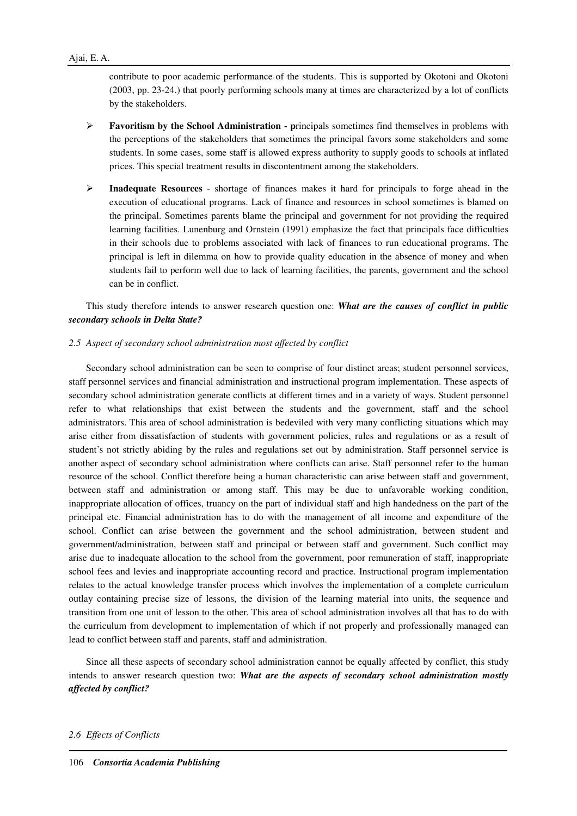contribute to poor academic performance of the students. This is supported by Okotoni and Okotoni (2003, pp. 23-24.) that poorly performing schools many at times are characterized by a lot of conflicts by the stakeholders.

- **Favoritism by the School Administration p**rincipals sometimes find themselves in problems with the perceptions of the stakeholders that sometimes the principal favors some stakeholders and some students. In some cases, some staff is allowed express authority to supply goods to schools at inflated prices. This special treatment results in discontentment among the stakeholders.
- **Inadequate Resources** shortage of finances makes it hard for principals to forge ahead in the execution of educational programs. Lack of finance and resources in school sometimes is blamed on the principal. Sometimes parents blame the principal and government for not providing the required learning facilities. Lunenburg and Ornstein (1991) emphasize the fact that principals face difficulties in their schools due to problems associated with lack of finances to run educational programs. The principal is left in dilemma on how to provide quality education in the absence of money and when students fail to perform well due to lack of learning facilities, the parents, government and the school can be in conflict.

This study therefore intends to answer research question one: *What are the causes of conflict in public secondary schools in Delta State?*

## *2.5 Aspect of secondary school administration most affected by conflict*

Secondary school administration can be seen to comprise of four distinct areas; student personnel services, staff personnel services and financial administration and instructional program implementation. These aspects of secondary school administration generate conflicts at different times and in a variety of ways. Student personnel refer to what relationships that exist between the students and the government, staff and the school administrators. This area of school administration is bedeviled with very many conflicting situations which may arise either from dissatisfaction of students with government policies, rules and regulations or as a result of student's not strictly abiding by the rules and regulations set out by administration. Staff personnel service is another aspect of secondary school administration where conflicts can arise. Staff personnel refer to the human resource of the school. Conflict therefore being a human characteristic can arise between staff and government, between staff and administration or among staff. This may be due to unfavorable working condition, inappropriate allocation of offices, truancy on the part of individual staff and high handedness on the part of the principal etc. Financial administration has to do with the management of all income and expenditure of the school. Conflict can arise between the government and the school administration, between student and government/administration, between staff and principal or between staff and government. Such conflict may arise due to inadequate allocation to the school from the government, poor remuneration of staff, inappropriate school fees and levies and inappropriate accounting record and practice. Instructional program implementation relates to the actual knowledge transfer process which involves the implementation of a complete curriculum outlay containing precise size of lessons, the division of the learning material into units, the sequence and transition from one unit of lesson to the other. This area of school administration involves all that has to do with the curriculum from development to implementation of which if not properly and professionally managed can lead to conflict between staff and parents, staff and administration.

Since all these aspects of secondary school administration cannot be equally affected by conflict, this study intends to answer research question two: *What are the aspects of secondary school administration mostly affected by conflict?*

#### *2.6 Effects of Conflicts*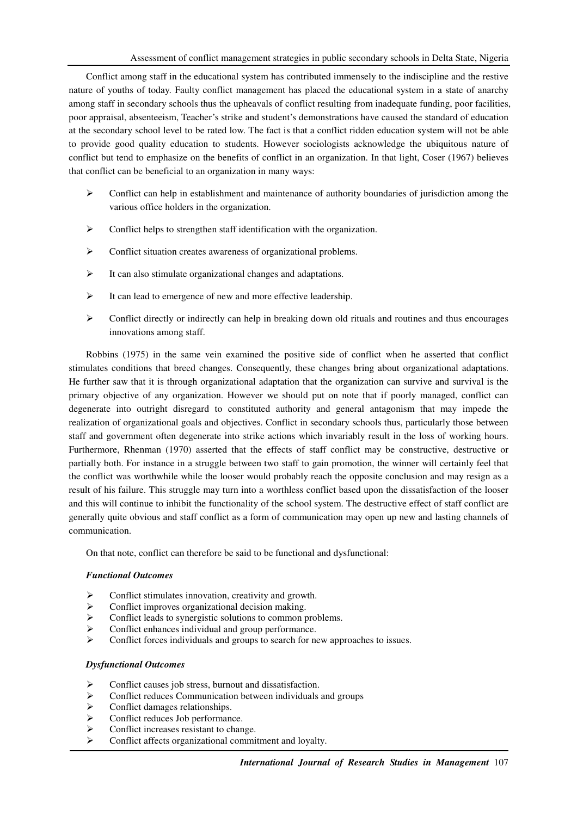Conflict among staff in the educational system has contributed immensely to the indiscipline and the restive nature of youths of today. Faulty conflict management has placed the educational system in a state of anarchy among staff in secondary schools thus the upheavals of conflict resulting from inadequate funding, poor facilities, poor appraisal, absenteeism, Teacher's strike and student's demonstrations have caused the standard of education at the secondary school level to be rated low. The fact is that a conflict ridden education system will not be able to provide good quality education to students. However sociologists acknowledge the ubiquitous nature of conflict but tend to emphasize on the benefits of conflict in an organization. In that light, Coser (1967) believes that conflict can be beneficial to an organization in many ways:

- $\triangleright$  Conflict can help in establishment and maintenance of authority boundaries of jurisdiction among the various office holders in the organization.
- $\triangleright$  Conflict helps to strengthen staff identification with the organization.
- Conflict situation creates awareness of organizational problems.
- $\triangleright$  It can also stimulate organizational changes and adaptations.
- $\triangleright$  It can lead to emergence of new and more effective leadership.
- $\triangleright$  Conflict directly or indirectly can help in breaking down old rituals and routines and thus encourages innovations among staff.

Robbins (1975) in the same vein examined the positive side of conflict when he asserted that conflict stimulates conditions that breed changes. Consequently, these changes bring about organizational adaptations. He further saw that it is through organizational adaptation that the organization can survive and survival is the primary objective of any organization. However we should put on note that if poorly managed, conflict can degenerate into outright disregard to constituted authority and general antagonism that may impede the realization of organizational goals and objectives. Conflict in secondary schools thus, particularly those between staff and government often degenerate into strike actions which invariably result in the loss of working hours. Furthermore, Rhenman (1970) asserted that the effects of staff conflict may be constructive, destructive or partially both. For instance in a struggle between two staff to gain promotion, the winner will certainly feel that the conflict was worthwhile while the looser would probably reach the opposite conclusion and may resign as a result of his failure. This struggle may turn into a worthless conflict based upon the dissatisfaction of the looser and this will continue to inhibit the functionality of the school system. The destructive effect of staff conflict are generally quite obvious and staff conflict as a form of communication may open up new and lasting channels of communication.

On that note, conflict can therefore be said to be functional and dysfunctional:

## *Functional Outcomes*

- Conflict stimulates innovation, creativity and growth.
- $\triangleright$  Conflict improves organizational decision making.
- $\triangleright$  Conflict leads to synergistic solutions to common problems.
- $\triangleright$  Conflict enhances individual and group performance.
- $\triangleright$  Conflict forces individuals and groups to search for new approaches to issues.

## *Dysfunctional Outcomes*

- Conflict causes job stress, burnout and dissatisfaction.
- $\triangleright$  Conflict reduces Communication between individuals and groups<br>  $\triangleright$  Conflict damages relationships.
- Conflict damages relationships.
- Conflict reduces Job performance.
- $\triangleright$  Conflict increases resistant to change.
- Conflict affects organizational commitment and loyalty.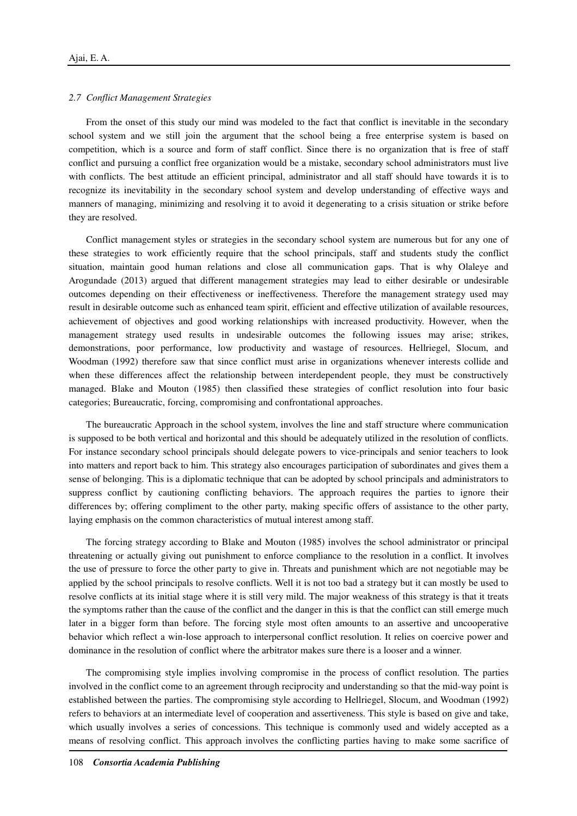## *2.7 Conflict Management Strategies*

From the onset of this study our mind was modeled to the fact that conflict is inevitable in the secondary school system and we still join the argument that the school being a free enterprise system is based on competition, which is a source and form of staff conflict. Since there is no organization that is free of staff conflict and pursuing a conflict free organization would be a mistake, secondary school administrators must live with conflicts. The best attitude an efficient principal, administrator and all staff should have towards it is to recognize its inevitability in the secondary school system and develop understanding of effective ways and manners of managing, minimizing and resolving it to avoid it degenerating to a crisis situation or strike before they are resolved.

Conflict management styles or strategies in the secondary school system are numerous but for any one of these strategies to work efficiently require that the school principals, staff and students study the conflict situation, maintain good human relations and close all communication gaps. That is why Olaleye and Arogundade (2013) argued that different management strategies may lead to either desirable or undesirable outcomes depending on their effectiveness or ineffectiveness. Therefore the management strategy used may result in desirable outcome such as enhanced team spirit, efficient and effective utilization of available resources, achievement of objectives and good working relationships with increased productivity. However, when the management strategy used results in undesirable outcomes the following issues may arise; strikes, demonstrations, poor performance, low productivity and wastage of resources. Hellriegel, Slocum, and Woodman (1992) therefore saw that since conflict must arise in organizations whenever interests collide and when these differences affect the relationship between interdependent people, they must be constructively managed. Blake and Mouton (1985) then classified these strategies of conflict resolution into four basic categories; Bureaucratic, forcing, compromising and confrontational approaches.

The bureaucratic Approach in the school system, involves the line and staff structure where communication is supposed to be both vertical and horizontal and this should be adequately utilized in the resolution of conflicts. For instance secondary school principals should delegate powers to vice-principals and senior teachers to look into matters and report back to him. This strategy also encourages participation of subordinates and gives them a sense of belonging. This is a diplomatic technique that can be adopted by school principals and administrators to suppress conflict by cautioning conflicting behaviors. The approach requires the parties to ignore their differences by; offering compliment to the other party, making specific offers of assistance to the other party, laying emphasis on the common characteristics of mutual interest among staff.

The forcing strategy according to Blake and Mouton (1985) involves the school administrator or principal threatening or actually giving out punishment to enforce compliance to the resolution in a conflict. It involves the use of pressure to force the other party to give in. Threats and punishment which are not negotiable may be applied by the school principals to resolve conflicts. Well it is not too bad a strategy but it can mostly be used to resolve conflicts at its initial stage where it is still very mild. The major weakness of this strategy is that it treats the symptoms rather than the cause of the conflict and the danger in this is that the conflict can still emerge much later in a bigger form than before. The forcing style most often amounts to an assertive and uncooperative behavior which reflect a win-lose approach to interpersonal conflict resolution. It relies on coercive power and dominance in the resolution of conflict where the arbitrator makes sure there is a looser and a winner.

The compromising style implies involving compromise in the process of conflict resolution. The parties involved in the conflict come to an agreement through reciprocity and understanding so that the mid-way point is established between the parties. The compromising style according to Hellriegel, Slocum, and Woodman (1992) refers to behaviors at an intermediate level of cooperation and assertiveness. This style is based on give and take, which usually involves a series of concessions. This technique is commonly used and widely accepted as a means of resolving conflict. This approach involves the conflicting parties having to make some sacrifice of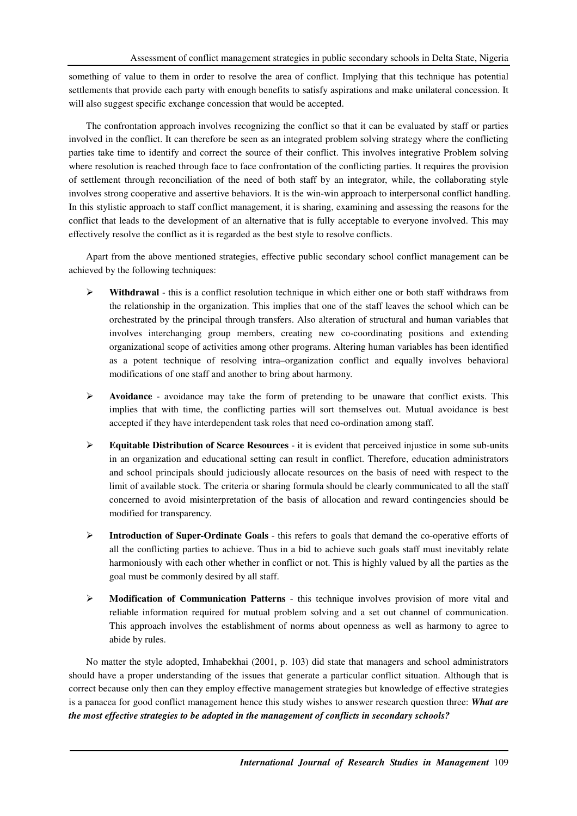something of value to them in order to resolve the area of conflict. Implying that this technique has potential settlements that provide each party with enough benefits to satisfy aspirations and make unilateral concession. It will also suggest specific exchange concession that would be accepted.

The confrontation approach involves recognizing the conflict so that it can be evaluated by staff or parties involved in the conflict. It can therefore be seen as an integrated problem solving strategy where the conflicting parties take time to identify and correct the source of their conflict. This involves integrative Problem solving where resolution is reached through face to face confrontation of the conflicting parties. It requires the provision of settlement through reconciliation of the need of both staff by an integrator, while, the collaborating style involves strong cooperative and assertive behaviors. It is the win-win approach to interpersonal conflict handling. In this stylistic approach to staff conflict management, it is sharing, examining and assessing the reasons for the conflict that leads to the development of an alternative that is fully acceptable to everyone involved. This may effectively resolve the conflict as it is regarded as the best style to resolve conflicts.

Apart from the above mentioned strategies, effective public secondary school conflict management can be achieved by the following techniques:

- **Withdrawal** this is a conflict resolution technique in which either one or both staff withdraws from the relationship in the organization. This implies that one of the staff leaves the school which can be orchestrated by the principal through transfers. Also alteration of structural and human variables that involves interchanging group members, creating new co-coordinating positions and extending organizational scope of activities among other programs. Altering human variables has been identified as a potent technique of resolving intra–organization conflict and equally involves behavioral modifications of one staff and another to bring about harmony.
- **Avoidance** avoidance may take the form of pretending to be unaware that conflict exists. This implies that with time, the conflicting parties will sort themselves out. Mutual avoidance is best accepted if they have interdependent task roles that need co-ordination among staff.
- **Equitable Distribution of Scarce Resources** it is evident that perceived injustice in some sub-units in an organization and educational setting can result in conflict. Therefore, education administrators and school principals should judiciously allocate resources on the basis of need with respect to the limit of available stock. The criteria or sharing formula should be clearly communicated to all the staff concerned to avoid misinterpretation of the basis of allocation and reward contingencies should be modified for transparency.
- **Introduction of Super-Ordinate Goals** this refers to goals that demand the co-operative efforts of all the conflicting parties to achieve. Thus in a bid to achieve such goals staff must inevitably relate harmoniously with each other whether in conflict or not. This is highly valued by all the parties as the goal must be commonly desired by all staff.
- **Modification of Communication Patterns** this technique involves provision of more vital and reliable information required for mutual problem solving and a set out channel of communication. This approach involves the establishment of norms about openness as well as harmony to agree to abide by rules.

No matter the style adopted, Imhabekhai (2001, p. 103) did state that managers and school administrators should have a proper understanding of the issues that generate a particular conflict situation. Although that is correct because only then can they employ effective management strategies but knowledge of effective strategies is a panacea for good conflict management hence this study wishes to answer research question three: *What are the most effective strategies to be adopted in the management of conflicts in secondary schools?*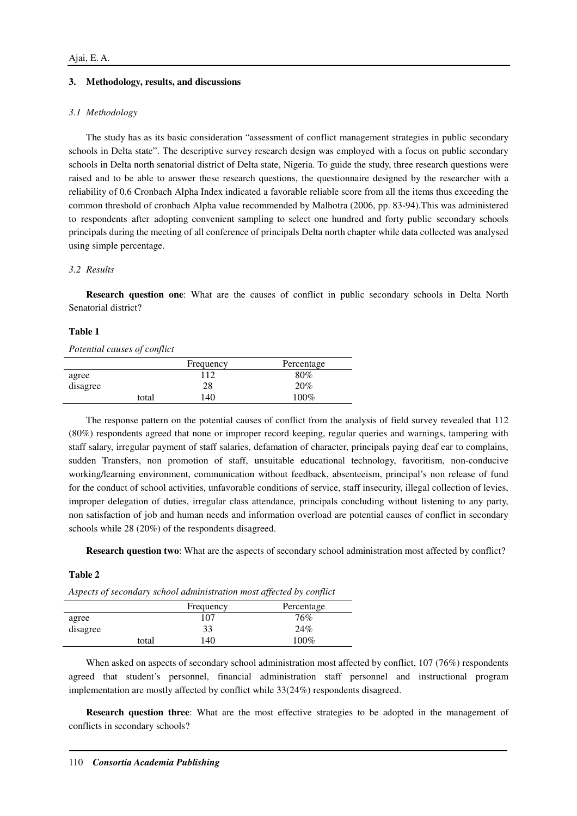## **3. Methodology, results, and discussions**

## *3.1 Methodology*

The study has as its basic consideration "assessment of conflict management strategies in public secondary schools in Delta state". The descriptive survey research design was employed with a focus on public secondary schools in Delta north senatorial district of Delta state, Nigeria. To guide the study, three research questions were raised and to be able to answer these research questions, the questionnaire designed by the researcher with a reliability of 0.6 Cronbach Alpha Index indicated a favorable reliable score from all the items thus exceeding the common threshold of cronbach Alpha value recommended by Malhotra (2006, pp. 83-94).This was administered to respondents after adopting convenient sampling to select one hundred and forty public secondary schools principals during the meeting of all conference of principals Delta north chapter while data collected was analysed using simple percentage.

## *3.2 Results*

**Research question one**: What are the causes of conflict in public secondary schools in Delta North Senatorial district?

#### **Table 1**

#### *Potential causes of conflict*

|          |       | Frequency | Percentage |
|----------|-------|-----------|------------|
| agree    |       | 112       | $80\%$     |
| disagree |       | 28        | 20%        |
|          | total | 140       | $100\%$    |

The response pattern on the potential causes of conflict from the analysis of field survey revealed that 112 (80%) respondents agreed that none or improper record keeping, regular queries and warnings, tampering with staff salary, irregular payment of staff salaries, defamation of character, principals paying deaf ear to complains, sudden Transfers, non promotion of staff, unsuitable educational technology, favoritism, non-conducive working/learning environment, communication without feedback, absenteeism, principal's non release of fund for the conduct of school activities, unfavorable conditions of service, staff insecurity, illegal collection of levies, improper delegation of duties, irregular class attendance, principals concluding without listening to any party, non satisfaction of job and human needs and information overload are potential causes of conflict in secondary schools while 28 (20%) of the respondents disagreed.

**Research question two**: What are the aspects of secondary school administration most affected by conflict?

## **Table 2**

*Aspects of secondary school administration most affected by conflict* 

|          |       | Frequency | Percentage |
|----------|-------|-----------|------------|
| agree    |       | 107       | 76%        |
| disagree |       | 33        | 24%        |
|          | total | 140       | 100%       |

When asked on aspects of secondary school administration most affected by conflict, 107 (76%) respondents agreed that student's personnel, financial administration staff personnel and instructional program implementation are mostly affected by conflict while 33(24%) respondents disagreed.

**Research question three**: What are the most effective strategies to be adopted in the management of conflicts in secondary schools?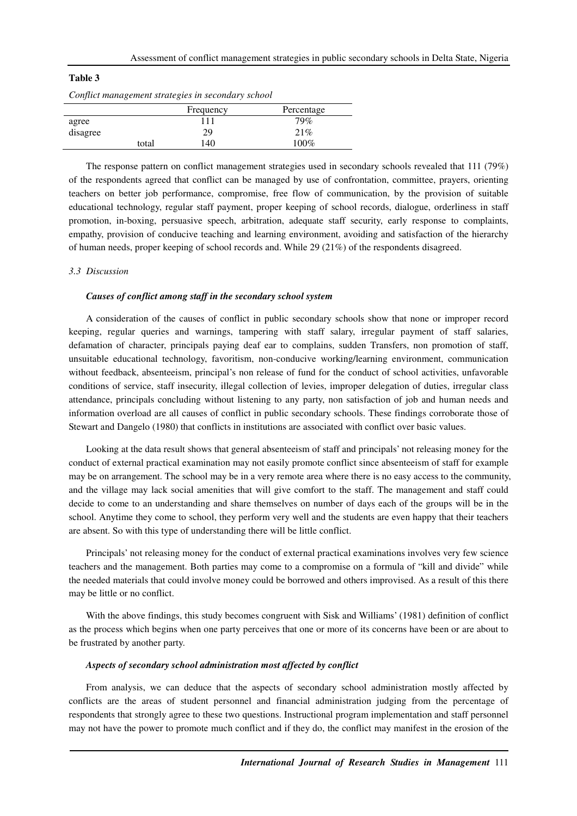| 'able |
|-------|
|-------|

|  | Conflict management strategies in secondary school |  |
|--|----------------------------------------------------|--|
|  |                                                    |  |

|          | Frequency | Percentage |
|----------|-----------|------------|
| agree    | 111       | 79%        |
| disagree | 29        | 21%        |
| total    | 140       | 100%       |

The response pattern on conflict management strategies used in secondary schools revealed that 111 (79%) of the respondents agreed that conflict can be managed by use of confrontation, committee, prayers, orienting teachers on better job performance, compromise, free flow of communication, by the provision of suitable educational technology, regular staff payment, proper keeping of school records, dialogue, orderliness in staff promotion, in-boxing, persuasive speech, arbitration, adequate staff security, early response to complaints, empathy, provision of conducive teaching and learning environment, avoiding and satisfaction of the hierarchy of human needs, proper keeping of school records and. While 29 (21%) of the respondents disagreed.

#### *3.3 Discussion*

#### *Causes of conflict among staff in the secondary school system*

A consideration of the causes of conflict in public secondary schools show that none or improper record keeping, regular queries and warnings, tampering with staff salary, irregular payment of staff salaries, defamation of character, principals paying deaf ear to complains, sudden Transfers, non promotion of staff, unsuitable educational technology, favoritism, non-conducive working/learning environment, communication without feedback, absenteeism, principal's non release of fund for the conduct of school activities, unfavorable conditions of service, staff insecurity, illegal collection of levies, improper delegation of duties, irregular class attendance, principals concluding without listening to any party, non satisfaction of job and human needs and information overload are all causes of conflict in public secondary schools. These findings corroborate those of Stewart and Dangelo (1980) that conflicts in institutions are associated with conflict over basic values.

Looking at the data result shows that general absenteeism of staff and principals' not releasing money for the conduct of external practical examination may not easily promote conflict since absenteeism of staff for example may be on arrangement. The school may be in a very remote area where there is no easy access to the community, and the village may lack social amenities that will give comfort to the staff. The management and staff could decide to come to an understanding and share themselves on number of days each of the groups will be in the school. Anytime they come to school, they perform very well and the students are even happy that their teachers are absent. So with this type of understanding there will be little conflict.

Principals' not releasing money for the conduct of external practical examinations involves very few science teachers and the management. Both parties may come to a compromise on a formula of "kill and divide" while the needed materials that could involve money could be borrowed and others improvised. As a result of this there may be little or no conflict.

With the above findings, this study becomes congruent with Sisk and Williams' (1981) definition of conflict as the process which begins when one party perceives that one or more of its concerns have been or are about to be frustrated by another party.

#### *Aspects of secondary school administration most affected by conflict*

From analysis, we can deduce that the aspects of secondary school administration mostly affected by conflicts are the areas of student personnel and financial administration judging from the percentage of respondents that strongly agree to these two questions. Instructional program implementation and staff personnel may not have the power to promote much conflict and if they do, the conflict may manifest in the erosion of the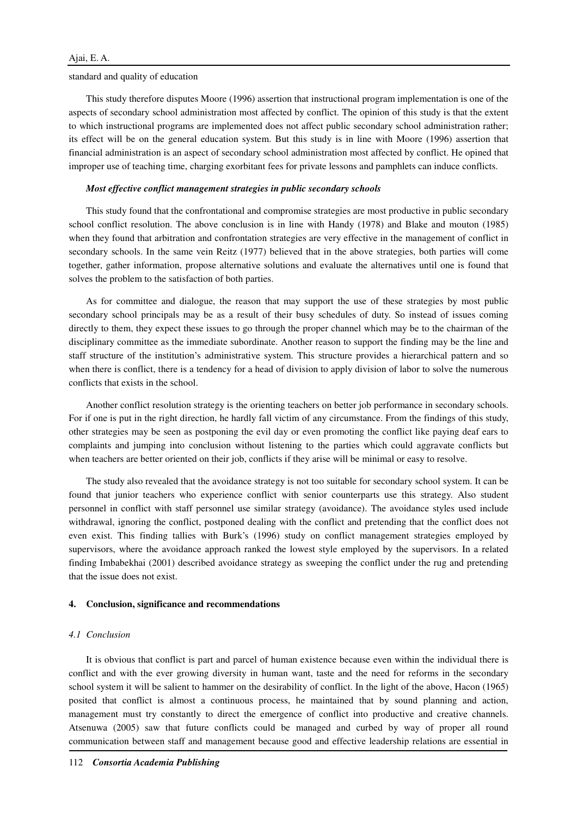#### standard and quality of education

This study therefore disputes Moore (1996) assertion that instructional program implementation is one of the aspects of secondary school administration most affected by conflict. The opinion of this study is that the extent to which instructional programs are implemented does not affect public secondary school administration rather; its effect will be on the general education system. But this study is in line with Moore (1996) assertion that financial administration is an aspect of secondary school administration most affected by conflict. He opined that improper use of teaching time, charging exorbitant fees for private lessons and pamphlets can induce conflicts.

#### *Most effective conflict management strategies in public secondary schools*

This study found that the confrontational and compromise strategies are most productive in public secondary school conflict resolution. The above conclusion is in line with Handy (1978) and Blake and mouton (1985) when they found that arbitration and confrontation strategies are very effective in the management of conflict in secondary schools. In the same vein Reitz (1977) believed that in the above strategies, both parties will come together, gather information, propose alternative solutions and evaluate the alternatives until one is found that solves the problem to the satisfaction of both parties.

As for committee and dialogue, the reason that may support the use of these strategies by most public secondary school principals may be as a result of their busy schedules of duty. So instead of issues coming directly to them, they expect these issues to go through the proper channel which may be to the chairman of the disciplinary committee as the immediate subordinate. Another reason to support the finding may be the line and staff structure of the institution's administrative system. This structure provides a hierarchical pattern and so when there is conflict, there is a tendency for a head of division to apply division of labor to solve the numerous conflicts that exists in the school.

Another conflict resolution strategy is the orienting teachers on better job performance in secondary schools. For if one is put in the right direction, he hardly fall victim of any circumstance. From the findings of this study, other strategies may be seen as postponing the evil day or even promoting the conflict like paying deaf ears to complaints and jumping into conclusion without listening to the parties which could aggravate conflicts but when teachers are better oriented on their job, conflicts if they arise will be minimal or easy to resolve.

The study also revealed that the avoidance strategy is not too suitable for secondary school system. It can be found that junior teachers who experience conflict with senior counterparts use this strategy. Also student personnel in conflict with staff personnel use similar strategy (avoidance). The avoidance styles used include withdrawal, ignoring the conflict, postponed dealing with the conflict and pretending that the conflict does not even exist. This finding tallies with Burk's (1996) study on conflict management strategies employed by supervisors, where the avoidance approach ranked the lowest style employed by the supervisors. In a related finding Imbabekhai (2001) described avoidance strategy as sweeping the conflict under the rug and pretending that the issue does not exist.

## **4. Conclusion, significance and recommendations**

## *4.1 Conclusion*

It is obvious that conflict is part and parcel of human existence because even within the individual there is conflict and with the ever growing diversity in human want, taste and the need for reforms in the secondary school system it will be salient to hammer on the desirability of conflict. In the light of the above, Hacon (1965) posited that conflict is almost a continuous process, he maintained that by sound planning and action, management must try constantly to direct the emergence of conflict into productive and creative channels. Atsenuwa (2005) saw that future conflicts could be managed and curbed by way of proper all round communication between staff and management because good and effective leadership relations are essential in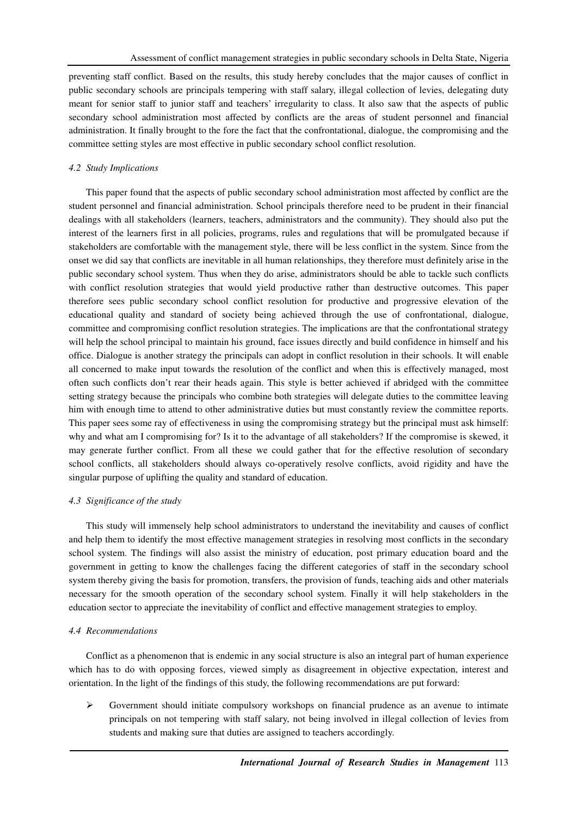preventing staff conflict. Based on the results, this study hereby concludes that the major causes of conflict in public secondary schools are principals tempering with staff salary, illegal collection of levies, delegating duty meant for senior staff to junior staff and teachers' irregularity to class. It also saw that the aspects of public secondary school administration most affected by conflicts are the areas of student personnel and financial administration. It finally brought to the fore the fact that the confrontational, dialogue, the compromising and the committee setting styles are most effective in public secondary school conflict resolution.

# *4.2 Study Implications*

This paper found that the aspects of public secondary school administration most affected by conflict are the student personnel and financial administration. School principals therefore need to be prudent in their financial dealings with all stakeholders (learners, teachers, administrators and the community). They should also put the interest of the learners first in all policies, programs, rules and regulations that will be promulgated because if stakeholders are comfortable with the management style, there will be less conflict in the system. Since from the onset we did say that conflicts are inevitable in all human relationships, they therefore must definitely arise in the public secondary school system. Thus when they do arise, administrators should be able to tackle such conflicts with conflict resolution strategies that would yield productive rather than destructive outcomes. This paper therefore sees public secondary school conflict resolution for productive and progressive elevation of the educational quality and standard of society being achieved through the use of confrontational, dialogue, committee and compromising conflict resolution strategies. The implications are that the confrontational strategy will help the school principal to maintain his ground, face issues directly and build confidence in himself and his office. Dialogue is another strategy the principals can adopt in conflict resolution in their schools. It will enable all concerned to make input towards the resolution of the conflict and when this is effectively managed, most often such conflicts don't rear their heads again. This style is better achieved if abridged with the committee setting strategy because the principals who combine both strategies will delegate duties to the committee leaving him with enough time to attend to other administrative duties but must constantly review the committee reports. This paper sees some ray of effectiveness in using the compromising strategy but the principal must ask himself: why and what am I compromising for? Is it to the advantage of all stakeholders? If the compromise is skewed, it may generate further conflict. From all these we could gather that for the effective resolution of secondary school conflicts, all stakeholders should always co-operatively resolve conflicts, avoid rigidity and have the singular purpose of uplifting the quality and standard of education.

## *4.3 Significance of the study*

This study will immensely help school administrators to understand the inevitability and causes of conflict and help them to identify the most effective management strategies in resolving most conflicts in the secondary school system. The findings will also assist the ministry of education, post primary education board and the government in getting to know the challenges facing the different categories of staff in the secondary school system thereby giving the basis for promotion, transfers, the provision of funds, teaching aids and other materials necessary for the smooth operation of the secondary school system. Finally it will help stakeholders in the education sector to appreciate the inevitability of conflict and effective management strategies to employ.

## *4.4 Recommendations*

Conflict as a phenomenon that is endemic in any social structure is also an integral part of human experience which has to do with opposing forces, viewed simply as disagreement in objective expectation, interest and orientation. In the light of the findings of this study, the following recommendations are put forward:

 $\triangleright$  Government should initiate compulsory workshops on financial prudence as an avenue to intimate principals on not tempering with staff salary, not being involved in illegal collection of levies from students and making sure that duties are assigned to teachers accordingly.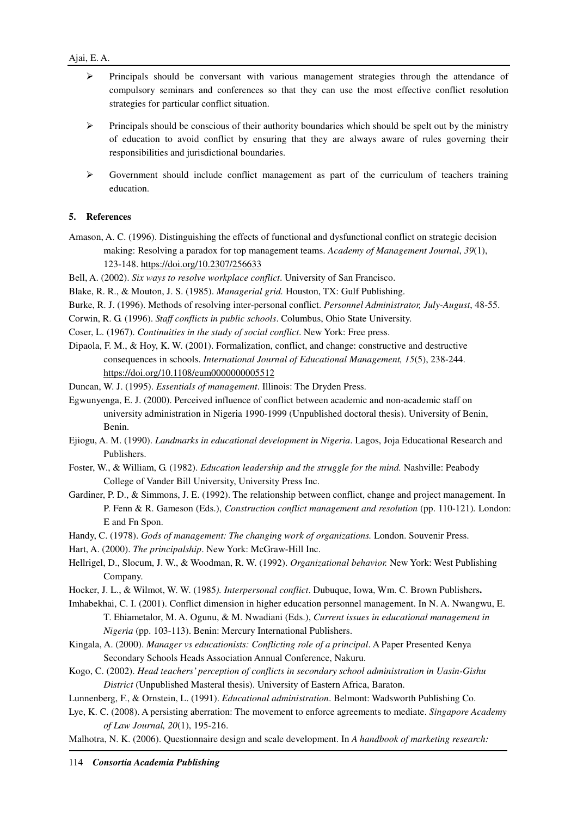- $\triangleright$  Principals should be conversant with various management strategies through the attendance of compulsory seminars and conferences so that they can use the most effective conflict resolution strategies for particular conflict situation.
- $\triangleright$  Principals should be conscious of their authority boundaries which should be spelt out by the ministry of education to avoid conflict by ensuring that they are always aware of rules governing their responsibilities and jurisdictional boundaries.
- $\triangleright$  Government should include conflict management as part of the curriculum of teachers training education.

## **5. References**

Amason, A. C. (1996). Distinguishing the effects of functional and dysfunctional conflict on strategic decision making: Resolving a paradox for top management teams. *Academy of Management Journal*, *39*(1), 123-148. https://doi.org/10.2307/256633

Bell, A. (2002). *Six ways to resolve workplace conflict*. University of San Francisco.

- Blake, R. R., & Mouton, J. S. (1985). *Managerial grid.* Houston, TX: Gulf Publishing.
- Burke, R. J. (1996). Methods of resolving inter-personal conflict. *Personnel Administrator, July-August*, 48-55.
- Corwin, R. G. (1996). *Staff conflicts in public schools*. Columbus, Ohio State University.
- Coser, L. (1967). *Continuities in the study of social conflict*. New York: Free press.
- Dipaola, F. M., & Hoy, K. W. (2001). Formalization, conflict, and change: constructive and destructive consequences in schools. *International Journal of Educational Management, 15*(5), 238-244. https://doi.org/10.1108/eum0000000005512
- Duncan, W. J. (1995). *Essentials of management*. Illinois: The Dryden Press.
- Egwunyenga, E. J. (2000). Perceived influence of conflict between academic and non-academic staff on university administration in Nigeria 1990-1999 (Unpublished doctoral thesis). University of Benin, Benin.
- Ejiogu, A. M. (1990). *Landmarks in educational development in Nigeria*. Lagos, Joja Educational Research and Publishers.
- Foster, W., & William, G. (1982). *Education leadership and the struggle for the mind.* Nashville: Peabody College of Vander Bill University, University Press Inc.
- Gardiner, P. D., & Simmons, J. E. (1992). The relationship between conflict, change and project management. In P. Fenn & R. Gameson (Eds.), *Construction conflict management and resolution* (pp. 110-121)*.* London: E and Fn Spon.
- Handy, C. (1978). *Gods of management: The changing work of organizations.* London. Souvenir Press.
- Hart, A. (2000). *The principalship*. New York: McGraw-Hill Inc.
- Hellrigel, D., Slocum, J. W., & Woodman, R. W. (1992). *Organizational behavior.* New York: West Publishing Company.
- Hocker, J. L., & Wilmot, W. W. (1985*). Interpersonal conflict*. Dubuque, Iowa, Wm. C. Brown Publishers**.**
- Imhabekhai, C. I. (2001). Conflict dimension in higher education personnel management. In N. A. Nwangwu, E. T. Ehiametalor, M. A. Ogunu, & M. Nwadiani (Eds.), *Current issues in educational management in Nigeria* (pp. 103-113). Benin: Mercury International Publishers.
- Kingala, A. (2000). *Manager vs educationists: Conflicting role of a principal*. A Paper Presented Kenya Secondary Schools Heads Association Annual Conference, Nakuru.
- Kogo, C. (2002). *Head teachers' perception of conflicts in secondary school administration in Uasin-Gishu District* (Unpublished Masteral thesis). University of Eastern Africa, Baraton.
- Lunnenberg, F., & Ornstein, L. (1991). *Educational administration*. Belmont: Wadsworth Publishing Co.
- Lye, K. C. (2008). A persisting aberration: The movement to enforce agreements to mediate. *Singapore Academy of Law Journal, 20*(1), 195-216.
- Malhotra, N. K. (2006). Questionnaire design and scale development. In *A handbook of marketing research:*